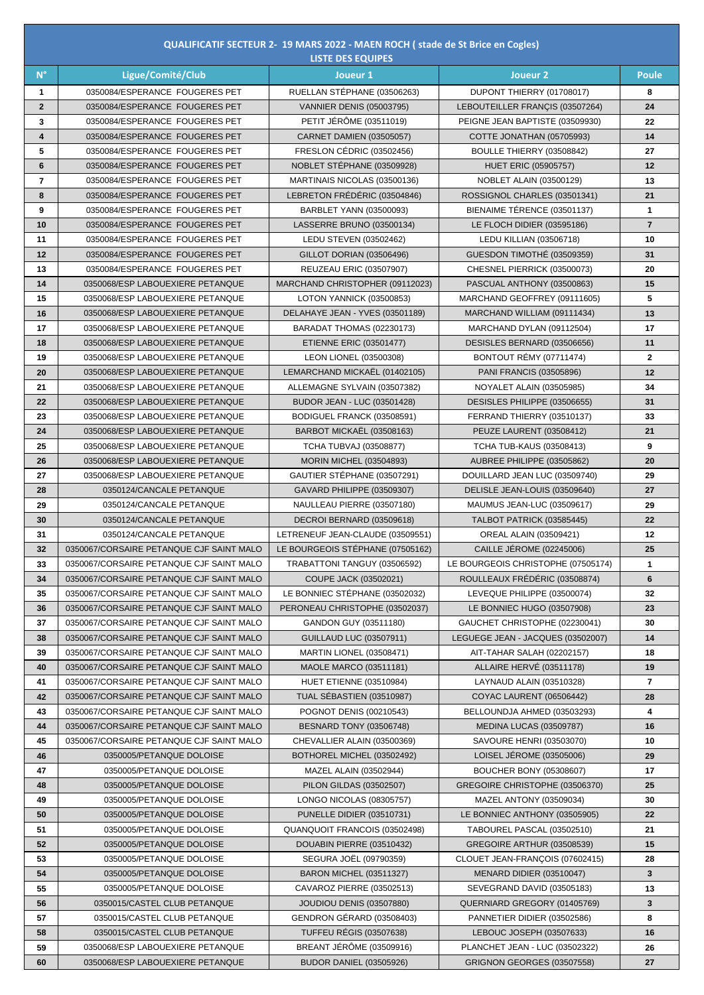|                 |                                          | <b>LISTE DES EQUIPES</b>           |                                    |                         |
|-----------------|------------------------------------------|------------------------------------|------------------------------------|-------------------------|
| $N^{\circ}$     | Ligue/Comité/Club                        | Joueur <sub>1</sub>                | <b>Joueur 2</b>                    | <b>Poule</b>            |
| $\mathbf 1$     | 0350084/ESPERANCE FOUGERES PET           | RUELLAN STÉPHANE (03506263)        | DUPONT THIERRY (01708017)          | 8                       |
| $\overline{2}$  | 0350084/ESPERANCE FOUGERES PET           | <b>VANNIER DENIS (05003795)</b>    | LEBOUTEILLER FRANCIS (03507264)    | 24                      |
| $\mathbf{3}$    | 0350084/ESPERANCE FOUGERES PET           | PETIT JÉRÔME (03511019)            | PEIGNE JEAN BAPTISTE (03509930)    | 22                      |
| 4               | 0350084/ESPERANCE FOUGERES PET           | <b>CARNET DAMIEN (03505057)</b>    | COTTE JONATHAN (05705993)          | 14                      |
| $5\phantom{.0}$ | 0350084/ESPERANCE FOUGERES PET           | FRESLON CÉDRIC (03502456)          | BOULLE THIERRY (03508842)          | 27                      |
| 6               | 0350084/ESPERANCE FOUGERES PET           | NOBLET STÉPHANE (03509928)         | <b>HUET ERIC (05905757)</b>        | 12                      |
| $\overline{7}$  | 0350084/ESPERANCE FOUGERES PET           | MARTINAIS NICOLAS (03500136)       | <b>NOBLET ALAIN (03500129)</b>     | 13                      |
| 8               | 0350084/ESPERANCE FOUGERES PET           | LEBRETON FRÉDÉRIC (03504846)       | ROSSIGNOL CHARLES (03501341)       | 21                      |
| 9               | 0350084/ESPERANCE FOUGERES PET           | <b>BARBLET YANN (03500093)</b>     | BIENAIME TÉRENCE (03501137)        | $\mathbf 1$             |
| 10              | 0350084/ESPERANCE FOUGERES PET           | LASSERRE BRUNO (03500134)          | LE FLOCH DIDIER (03595186)         | $\overline{7}$          |
| 11              | 0350084/ESPERANCE FOUGERES PET           | <b>LEDU STEVEN (03502462)</b>      | LEDU KILLIAN (03506718)            | 10                      |
| 12              | 0350084/ESPERANCE FOUGERES PET           | GILLOT DORIAN (03506496)           | GUESDON TIMOTHÉ (03509359)         | 31                      |
| 13              | 0350084/ESPERANCE FOUGERES PET           | <b>REUZEAU ERIC (03507907)</b>     | CHESNEL PIERRICK (03500073)        | 20                      |
| 14              | 0350068/ESP LABOUEXIERE PETANQUE         | MARCHAND CHRISTOPHER (09112023)    | PASCUAL ANTHONY (03500863)         | 15                      |
| 15              | 0350068/ESP LABOUEXIERE PETANQUE         | LOTON YANNICK (03500853)           | MARCHAND GEOFFREY (09111605)       | 5                       |
| 16              | 0350068/ESP LABOUEXIERE PETANQUE         | DELAHAYE JEAN - YVES (03501189)    | MARCHAND WILLIAM (09111434)        | 13                      |
| 17              | 0350068/ESP LABOUEXIERE PETANQUE         | BARADAT THOMAS (02230173)          | MARCHAND DYLAN (09112504)          | 17                      |
| 18              | 0350068/ESP LABOUEXIERE PETANQUE         | <b>ETIENNE ERIC (03501477)</b>     | DESISLES BERNARD (03506656)        | 11                      |
| 19              | 0350068/ESP LABOUEXIERE PETANQUE         | <b>LEON LIONEL (03500308)</b>      | BONTOUT RÉMY (07711474)            | $\mathbf{2}$            |
| 20              | 0350068/ESP LABOUEXIERE PETANQUE         | LEMARCHAND MICKAËL (01402105)      | <b>PANI FRANCIS (03505896)</b>     | 12                      |
| 21              | 0350068/ESP LABOUEXIERE PETANQUE         | ALLEMAGNE SYLVAIN (03507382)       | NOYALET ALAIN (03505985)           | 34                      |
| 22              | 0350068/ESP LABOUEXIERE PETANQUE         | <b>BUDOR JEAN - LUC (03501428)</b> | DESISLES PHILIPPE (03506655)       | 31                      |
| 23              | 0350068/ESP LABOUEXIERE PETANQUE         | BODIGUEL FRANCK (03508591)         | FERRAND THIERRY (03510137)         | 33                      |
| 24              | 0350068/ESP LABOUEXIERE PETANQUE         | BARBOT MICKAËL (03508163)          | PEUZE LAURENT (03508412)           | 21                      |
| 25              | 0350068/ESP LABOUEXIERE PETANQUE         | <b>TCHA TUBVAJ (03508877)</b>      | <b>TCHA TUB-KAUS (03508413)</b>    | 9                       |
| 26              | 0350068/ESP LABOUEXIERE PETANQUE         | <b>MORIN MICHEL (03504893)</b>     | AUBREE PHILIPPE (03505862)         | 20                      |
| 27              | 0350068/ESP LABOUEXIERE PETANQUE         | GAUTIER STÉPHANE (03507291)        | DOUILLARD JEAN LUC (03509740)      | 29                      |
| 28              | 0350124/CANCALE PETANQUE                 | GAVARD PHILIPPE (03509307)         | DELISLE JEAN-LOUIS (03509640)      | 27                      |
| 29              | 0350124/CANCALE PETANQUE                 | NAULLEAU PIERRE (03507180)         | MAUMUS JEAN-LUC (03509617)         | 29                      |
| 30              | 0350124/CANCALE PETANQUE                 | DECROI BERNARD (03509618)          | TALBOT PATRICK (03585445)          | 22                      |
| 31              | 0350124/CANCALE PETANQUE                 | LETRENEUF JEAN-CLAUDE (03509551)   | <b>OREAL ALAIN (03509421)</b>      | 12                      |
| 32              | 0350067/CORSAIRE PETANQUE CJF SAINT MALO | LE BOURGEOIS STÉPHANE (07505162)   | CAILLE JÉROME (02245006)           | 25                      |
| 33              | 0350067/CORSAIRE PETANQUE CJF SAINT MALO | TRABATTONI TANGUY (03506592)       | LE BOURGEOIS CHRISTOPHE (07505174) | $\mathbf 1$             |
| 34              | 0350067/CORSAIRE PETANQUE CJF SAINT MALO | COUPE JACK (03502021)              | ROULLEAUX FRÉDÉRIC (03508874)      | 6                       |
| 35              | 0350067/CORSAIRE PETANQUE CJF SAINT MALO | LE BONNIEC STÉPHANE (03502032)     | LEVEQUE PHILIPPE (03500074)        | 32                      |
| 36              | 0350067/CORSAIRE PETANQUE CJF SAINT MALO | PERONEAU CHRISTOPHE (03502037)     | LE BONNIEC HUGO (03507908)         | 23                      |
| 37              | 0350067/CORSAIRE PETANQUE CJF SAINT MALO | GANDON GUY (03511180)              | GAUCHET CHRISTOPHE (02230041)      | 30                      |
| 38              | 0350067/CORSAIRE PETANQUE CJF SAINT MALO | <b>GUILLAUD LUC (03507911)</b>     | LEGUEGE JEAN - JACQUES (03502007)  | 14                      |
| 39              | 0350067/CORSAIRE PETANQUE CJF SAINT MALO | <b>MARTIN LIONEL (03508471)</b>    | AIT-TAHAR SALAH (02202157)         | 18                      |
| 40              | 0350067/CORSAIRE PETANQUE CJF SAINT MALO | <b>MAOLE MARCO (03511181)</b>      | ALLAIRE HERVÉ (03511178)           | 19                      |
| 41              | 0350067/CORSAIRE PETANQUE CJF SAINT MALO | <b>HUET ETIENNE (03510984)</b>     | LAYNAUD ALAIN (03510328)           | $\overline{7}$          |
| 42              | 0350067/CORSAIRE PETANQUE CJF SAINT MALO | TUAL SÉBASTIEN (03510987)          | <b>COYAC LAURENT (06506442)</b>    | 28                      |
| 43              | 0350067/CORSAIRE PETANQUE CJF SAINT MALO | POGNOT DENIS (00210543)            | BELLOUNDJA AHMED (03503293)        | $\overline{\mathbf{4}}$ |
| 44              | 0350067/CORSAIRE PETANQUE CJF SAINT MALO | <b>BESNARD TONY (03506748)</b>     | <b>MEDINA LUCAS (03509787)</b>     | 16                      |
| 45              | 0350067/CORSAIRE PETANQUE CJF SAINT MALO | CHEVALLIER ALAIN (03500369)        | SAVOURE HENRI (03503070)           | 10                      |
| 46              | 0350005/PETANQUE DOLOISE                 | BOTHOREL MICHEL (03502492)         | LOISEL JÉROME (03505006)           | 29                      |
| 47              | 0350005/PETANQUE DOLOISE                 | MAZEL ALAIN (03502944)             | <b>BOUCHER BONY (05308607)</b>     | 17                      |
| 48              | 0350005/PETANQUE DOLOISE                 | PILON GILDAS (03502507)            | GREGOIRE CHRISTOPHE (03506370)     | 25                      |
| 49              | 0350005/PETANQUE DOLOISE                 | LONGO NICOLAS (08305757)           | MAZEL ANTONY (03509034)            | 30                      |
| 50              | 0350005/PETANQUE DOLOISE                 | PUNELLE DIDIER (03510731)          | LE BONNIEC ANTHONY (03505905)      | 22                      |
| 51              | 0350005/PETANQUE DOLOISE                 | QUANQUOIT FRANCOIS (03502498)      | TABOUREL PASCAL (03502510)         | 21                      |
| 52              | 0350005/PETANQUE DOLOISE                 | DOUABIN PIERRE (03510432)          | GREGOIRE ARTHUR (03508539)         | 15                      |
| 53              | 0350005/PETANQUE DOLOISE                 | <b>SEGURA JOËL (09790359)</b>      | CLOUET JEAN-FRANÇOIS (07602415)    | 28                      |
| 54              | 0350005/PETANQUE DOLOISE                 | <b>BARON MICHEL (03511327)</b>     | <b>MENARD DIDIER (03510047)</b>    | $\mathbf{3}$            |
| 55              | 0350005/PETANQUE DOLOISE                 | CAVAROZ PIERRE (03502513)          | SEVEGRAND DAVID (03505183)         | 13                      |
| 56              | 0350015/CASTEL CLUB PETANQUE             | <b>JOUDIOU DENIS (03507880)</b>    | QUERNIARD GREGORY (01405769)       | $\mathbf{3}$            |
| 57              | 0350015/CASTEL CLUB PETANQUE             | GENDRON GÉRARD (03508403)          | PANNETIER DIDIER (03502586)        | 8                       |
| 58              | 0350015/CASTEL CLUB PETANQUE             | <b>TUFFEU RÉGIS (03507638)</b>     | LEBOUC JOSEPH (03507633)           | 16                      |
| 59              | 0350068/ESP LABOUEXIERE PETANQUE         | BREANT JÉRÔME (03509916)           | PLANCHET JEAN - LUC (03502322)     | 26                      |
| 60              | 0350068/ESP LABOUEXIERE PETANQUE         | <b>BUDOR DANIEL (03505926)</b>     | <b>GRIGNON GEORGES (03507558)</b>  | 27                      |

## **QUALIFICATIF SECTEUR 2- 19 MARS 2022 - MAEN ROCH ( stade de St Brice en Cogles)**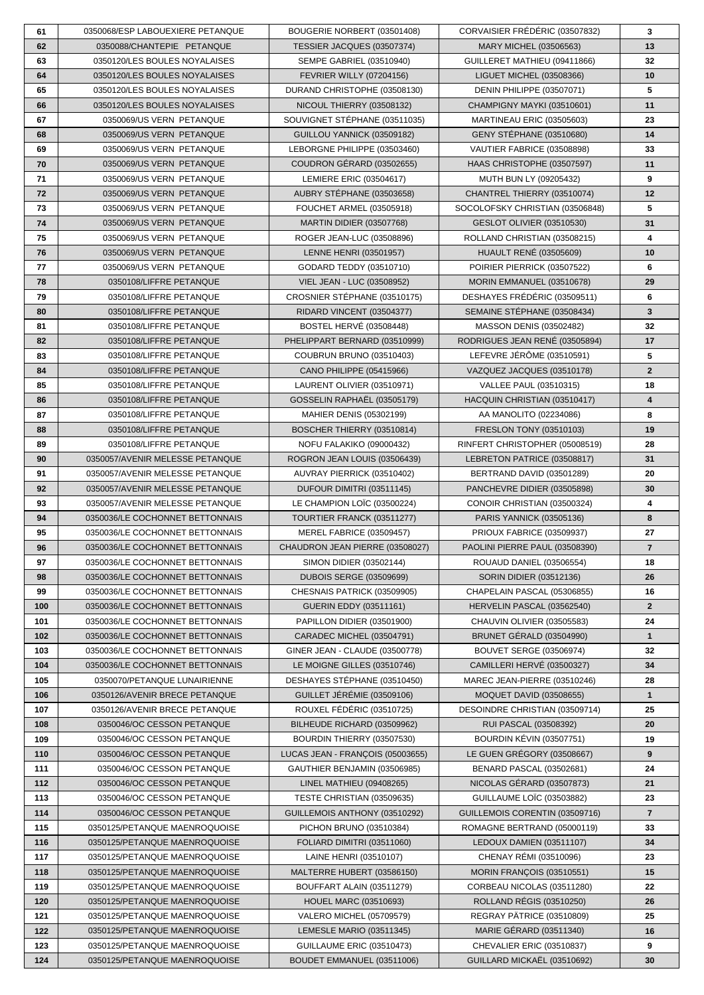| 61         | 0350068/ESP LABOUEXIERE PETANQUE                               | BOUGERIE NORBERT (03501408)                             | CORVAISIER FRÉDÉRIC (03507832)                                   | $\mathbf{3}$            |
|------------|----------------------------------------------------------------|---------------------------------------------------------|------------------------------------------------------------------|-------------------------|
| 62         | 0350088/CHANTEPIE PETANQUE                                     | TESSIER JACQUES (03507374)                              | MARY MICHEL (03506563)                                           | 13                      |
| 63         | 0350120/LES BOULES NOYALAISES                                  | <b>SEMPE GABRIEL (03510940)</b>                         | GUILLERET MATHIEU (09411866)                                     | 32                      |
| 64         | 0350120/LES BOULES NOYALAISES                                  | <b>FEVRIER WILLY (07204156)</b>                         | LIGUET MICHEL (03508366)                                         | 10                      |
| 65         | 0350120/LES BOULES NOYALAISES                                  | DURAND CHRISTOPHE (03508130)                            | DENIN PHILIPPE (03507071)                                        | $5\phantom{.0}$         |
| 66         | 0350120/LES BOULES NOYALAISES                                  | NICOUL THIERRY (03508132)                               | CHAMPIGNY MAYKI (03510601)                                       | 11                      |
| 67         | 0350069/US VERN PETANQUE                                       | SOUVIGNET STÉPHANE (03511035)                           | MARTINEAU ERIC (03505603)                                        | 23                      |
| 68         | 0350069/US VERN PETANQUE                                       | GUILLOU YANNICK (03509182)                              | <b>GENY STÉPHANE (03510680)</b>                                  | 14                      |
| 69         | 0350069/US VERN PETANQUE                                       | LEBORGNE PHILIPPE (03503460)                            | VAUTIER FABRICE (03508898)                                       | 33                      |
| 70         | 0350069/US VERN PETANQUE                                       | COUDRON GÉRARD (03502655)                               | HAAS CHRISTOPHE (03507597)                                       | 11                      |
| 71         | 0350069/US VERN PETANQUE                                       | LEMIERE ERIC (03504617)                                 | MUTH BUN LY (09205432)                                           | $\overline{\mathbf{9}}$ |
| 72         | 0350069/US VERN PETANQUE                                       | AUBRY STÉPHANE (03503658)                               | CHANTREL THIERRY (03510074)                                      | 12                      |
| 73         | 0350069/US VERN PETANQUE                                       | <b>FOUCHET ARMEL (03505918)</b>                         | SOCOLOFSKY CHRISTIAN (03506848)                                  | 5                       |
| 74         | 0350069/US VERN PETANQUE                                       | <b>MARTIN DIDIER (03507768)</b>                         | <b>GESLOT OLIVIER (03510530)</b>                                 | 31                      |
| 75         | 0350069/US VERN PETANQUE                                       | ROGER JEAN-LUC (03508896)                               | ROLLAND CHRISTIAN (03508215)                                     | 4                       |
| 76         | 0350069/US VERN PETANQUE                                       | LENNE HENRI (03501957)                                  | <b>HUAULT RENÉ (03505609)</b>                                    | 10                      |
| 77         | 0350069/US VERN PETANQUE                                       | GODARD TEDDY (03510710)                                 | POIRIER PIERRICK (03507522)                                      | 6                       |
| 78         | 0350108/LIFFRE PETANQUE                                        | VIEL JEAN - LUC (03508952)                              | MORIN EMMANUEL (03510678)                                        | 29                      |
| 79         | 0350108/LIFFRE PETANQUE                                        | CROSNIER STÉPHANE (03510175)                            | DESHAYES FRÉDÉRIC (03509511)                                     | 6                       |
| 80         | 0350108/LIFFRE PETANQUE                                        | RIDARD VINCENT (03504377)                               | SEMAINE STÉPHANE (03508434)                                      | $\mathbf{3}$            |
| 81         | 0350108/LIFFRE PETANQUE                                        | <b>BOSTEL HERVÉ (03508448)</b>                          | MASSON DENIS (03502482)                                          | 32                      |
| 82         | 0350108/LIFFRE PETANQUE                                        | PHELIPPART BERNARD (03510999)                           | RODRIGUES JEAN RENÉ (03505894)                                   | 17                      |
| 83         | 0350108/LIFFRE PETANQUE                                        | COUBRUN BRUNO (03510403)                                | LEFEVRE JÉRÔME (03510591)                                        | $5\phantom{.0}$         |
| 84         | 0350108/LIFFRE PETANQUE                                        | CANO PHILIPPE (05415966)                                | VAZQUEZ JACQUES (03510178)                                       | $\overline{2}$          |
| 85         | 0350108/LIFFRE PETANQUE                                        | LAURENT OLIVIER (03510971)                              | <b>VALLEE PAUL (03510315)</b>                                    | 18                      |
| 86         | 0350108/LIFFRE PETANQUE                                        | GOSSELIN RAPHAËL (03505179)                             | HACQUIN CHRISTIAN (03510417)                                     | 4                       |
| 87         | 0350108/LIFFRE PETANQUE                                        | MAHIER DENIS (05302199)                                 | AA MANOLITO (02234086)                                           | 8                       |
| 88         | 0350108/LIFFRE PETANQUE                                        | BOSCHER THIERRY (03510814)                              | FRESLON TONY (03510103)                                          | 19                      |
| 89         | 0350108/LIFFRE PETANQUE                                        | NOFU FALAKIKO (09000432)                                | RINFERT CHRISTOPHER (05008519)                                   | 28                      |
| 90         | 0350057/AVENIR MELESSE PETANQUE                                | ROGRON JEAN LOUIS (03506439)                            | LEBRETON PATRICE (03508817)                                      | 31                      |
| 91         | 0350057/AVENIR MELESSE PETANQUE                                | AUVRAY PIERRICK (03510402)                              | BERTRAND DAVID (03501289)                                        | 20                      |
| 92         | 0350057/AVENIR MELESSE PETANQUE                                | DUFOUR DIMITRI (03511145)                               | PANCHEVRE DIDIER (03505898)                                      | 30                      |
| 93         | 0350057/AVENIR MELESSE PETANQUE                                | LE CHAMPION LOÏC (03500224)                             | CONOIR CHRISTIAN (03500324)                                      | 4                       |
| 94         | 0350036/LE COCHONNET BETTONNAIS                                | TOURTIER FRANCK (03511277)                              | <b>PARIS YANNICK (03505136)</b>                                  | 8                       |
| 95         | 0350036/LE COCHONNET BETTONNAIS                                | MEREL FABRICE (03509457)                                | PRIOUX FABRICE (03509937)                                        | 27                      |
| 96         | 0350036/LE COCHONNET BETTONNAIS                                | CHAUDRON JEAN PIERRE (03508027)                         | PAOLINI PIERRE PAUL (03508390)                                   | $\overline{7}$          |
| 97         | 0350036/LE COCHONNET BETTONNAIS                                | SIMON DIDIER (03502144)                                 | ROUAUD DANIEL (03506554)                                         | 18                      |
| 98         | 0350036/LE COCHONNET BETTONNAIS                                | <b>DUBOIS SERGE (03509699)</b>                          | SORIN DIDIER (03512136)                                          | 26                      |
| 99         | 0350036/LE COCHONNET BETTONNAIS                                | CHESNAIS PATRICK (03509905)                             | CHAPELAIN PASCAL (05306855)                                      | 16                      |
| 100        | 0350036/LE COCHONNET BETTONNAIS                                | <b>GUERIN EDDY (03511161)</b>                           | HERVELIN PASCAL (03562540)                                       | 2 <sup>1</sup>          |
| 101        | 0350036/LE COCHONNET BETTONNAIS                                | PAPILLON DIDIER (03501900)                              | CHAUVIN OLIVIER (03505583)                                       | 24                      |
| 102        | 0350036/LE COCHONNET BETTONNAIS                                | CARADEC MICHEL (03504791)                               | BRUNET GÉRALD (03504990)                                         | $\mathbf{1}$            |
| 103        | 0350036/LE COCHONNET BETTONNAIS                                | GINER JEAN - CLAUDE (03500778)                          | <b>BOUVET SERGE (03506974)</b>                                   | 32                      |
| 104        | 0350036/LE COCHONNET BETTONNAIS                                | LE MOIGNE GILLES (03510746)                             | <b>CAMILLERI HERVÉ (03500327)</b>                                | 34                      |
| 105        | 0350070/PETANQUE LUNAIRIENNE                                   | DESHAYES STÉPHANE (03510450)                            | MAREC JEAN-PIERRE (03510246)                                     | 28                      |
| 106        | 0350126/AVENIR BRECE PETANQUE<br>0350126/AVENIR BRECE PETANQUE | GUILLET JÉRÉMIE (03509106)<br>ROUXEL FÉDÉRIC (03510725) | <b>MOQUET DAVID (03508655)</b><br>DESOINDRE CHRISTIAN (03509714) | $\mathbf{1}$<br>25      |
| 107        | 0350046/OC CESSON PETANQUE                                     | BILHEUDE RICHARD (03509962)                             | RUI PASCAL (03508392)                                            |                         |
| 108<br>109 | 0350046/OC CESSON PETANQUE                                     | BOURDIN THIERRY (03507530)                              | BOURDIN KÉVIN (03507751)                                         | 20<br>19                |
|            | 0350046/OC CESSON PETANQUE                                     | LUCAS JEAN - FRANÇOIS (05003655)                        | LE GUEN GRÉGORY (03508667)                                       |                         |
| 110<br>111 | 0350046/OC CESSON PETANQUE                                     | GAUTHIER BENJAMIN (03506985)                            | BENARD PASCAL (03502681)                                         | 9<br>24                 |
| 112        | 0350046/OC CESSON PETANQUE                                     | LINEL MATHIEU (09408265)                                | NICOLAS GÉRARD (03507873)                                        | 21                      |
| 113        | 0350046/OC CESSON PETANQUE                                     | TESTE CHRISTIAN (03509635)                              | <b>GUILLAUME LOÏC (03503882)</b>                                 | 23                      |
| 114        | 0350046/OC CESSON PETANQUE                                     | GUILLEMOIS ANTHONY (03510292)                           | GUILLEMOIS CORENTIN (03509716)                                   | $\overline{7}$          |
| 115        | 0350125/PETANQUE MAENROQUOISE                                  | PICHON BRUNO (03510384)                                 | ROMAGNE BERTRAND (05000119)                                      | 33                      |
| 116        | 0350125/PETANQUE MAENROQUOISE                                  | FOLIARD DIMITRI (03511060)                              | LEDOUX DAMIEN (03511107)                                         | 34                      |
| 117        | 0350125/PETANQUE MAENROQUOISE                                  | LAINE HENRI (03510107)                                  | CHENAY RÉMI (03510096)                                           | 23                      |
| 118        | 0350125/PETANQUE MAENROQUOISE                                  | MALTERRE HUBERT (03586150)                              | MORIN FRANÇOIS (03510551)                                        | 15                      |
| 119        | 0350125/PETANQUE MAENROQUOISE                                  | BOUFFART ALAIN (03511279)                               | CORBEAU NICOLAS (03511280)                                       | 22                      |
| 120        | 0350125/PETANQUE MAENROQUOISE                                  | <b>HOUEL MARC (03510693)</b>                            | ROLLAND RÉGIS (03510250)                                         | 26                      |
| 121        | 0350125/PETANQUE MAENROQUOISE                                  | <b>VALERO MICHEL (05709579)</b>                         | REGRAY PÄTRICE (03510809)                                        | 25                      |
| 122        | 0350125/PETANQUE MAENROQUOISE                                  | <b>LEMESLE MARIO (03511345)</b>                         | <b>MARIE GÉRARD (03511340)</b>                                   | 16                      |
| 123        | 0350125/PETANQUE MAENROQUOISE                                  | <b>GUILLAUME ERIC (03510473)</b>                        | CHEVALIER ERIC (03510837)                                        | 9                       |
| 124        | 0350125/PETANQUE MAENROQUOISE                                  | BOUDET EMMANUEL (03511006)                              | GUILLARD MICKAËL (03510692)                                      | 30                      |